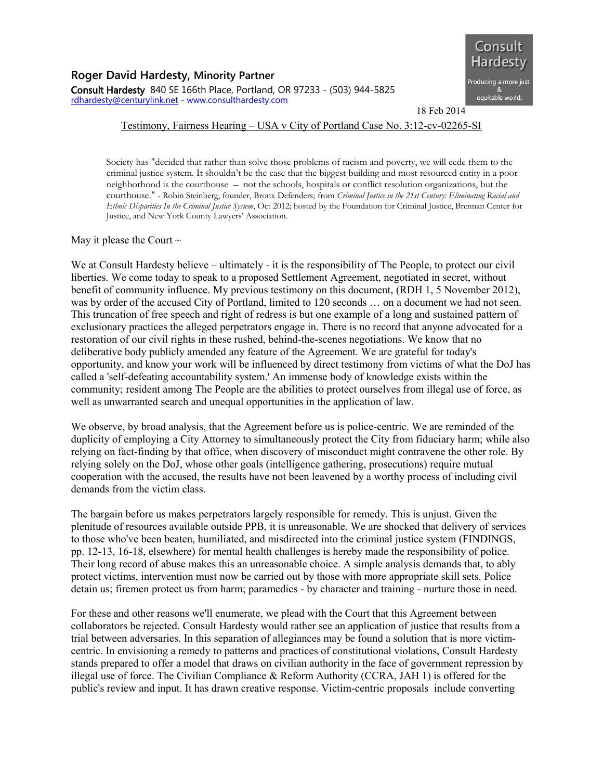

18 Feb 2014

## Testimony, Fairness Hearing – USA v City of Portland Case No. 3:12-cv-02265-SI

Society has "decided that rather than solve those problems of racism and poverty, we will cede them to the criminal justice system. It shouldn't be the case that the biggest building and most resourced entity in a poor neighborhood is the courthouse – not the schools, hospitals or conflict resolution organizations, but the courthouse." - Robin Steinberg, founder, Bronx Defenders; from *Criminal Justice in the 21st Century: Eliminating Racial and Ethnic Disparities In the Criminal Justice System*, Oct 2012; hosted by the Foundation for Criminal Justice, Brennan Center for Justice, and New York County Lawyers' Association.

May it please the Court  $\sim$ 

We at Consult Hardesty believe – ultimately - it is the responsibility of The People, to protect our civil liberties. We come today to speak to a proposed Settlement Agreement, negotiated in secret, without benefit of community influence. My previous testimony on this document, (RDH 1, 5 November 2012), was by order of the accused City of Portland, limited to 120 seconds ... on a document we had not seen. This truncation of free speech and right of redress is but one example of a long and sustained pattern of exclusionary practices the alleged perpetrators engage in. There is no record that anyone advocated for a restoration of our civil rights in these rushed, behind-the-scenes negotiations. We know that no deliberative body publicly amended any feature of the Agreement. We are grateful for today's opportunity, and know your work will be influenced by direct testimony from victims of what the DoJ has called a 'self-defeating accountability system.' An immense body of knowledge exists within the community; resident among The People are the abilities to protect ourselves from illegal use of force, as well as unwarranted search and unequal opportunities in the application of law.

We observe, by broad analysis, that the Agreement before us is police-centric. We are reminded of the duplicity of employing a City Attorney to simultaneously protect the City from fiduciary harm; while also relying on fact-finding by that office, when discovery of misconduct might contravene the other role. By relying solely on the DoJ, whose other goals (intelligence gathering, prosecutions) require mutual cooperation with the accused, the results have not been leavened by a worthy process of including civil demands from the victim class.

The bargain before us makes perpetrators largely responsible for remedy. This is unjust. Given the plenitude of resources available outside PPB, it is unreasonable. We are shocked that delivery of services to those who've been beaten, humiliated, and misdirected into the criminal justice system (FINDINGS, pp. 12-13, 16-18, elsewhere) for mental health challenges is hereby made the responsibility of police. Their long record of abuse makes this an unreasonable choice. A simple analysis demands that, to ably protect victims, intervention must now be carried out by those with more appropriate skill sets. Police detain us; firemen protect us from harm; paramedics - by character and training - nurture those in need.

For these and other reasons we'll enumerate, we plead with the Court that this Agreement between collaborators be rejected. Consult Hardesty would rather see an application of justice that results from a trial between adversaries. In this separation of allegiances may be found a solution that is more victimcentric. In envisioning a remedy to patterns and practices of constitutional violations, Consult Hardesty stands prepared to offer a model that draws on civilian authority in the face of government repression by illegal use of force. The Civilian Compliance & Reform Authority (CCRA, JAH 1) is offered for the public's review and input. It has drawn creative response. Victim-centric proposals include converting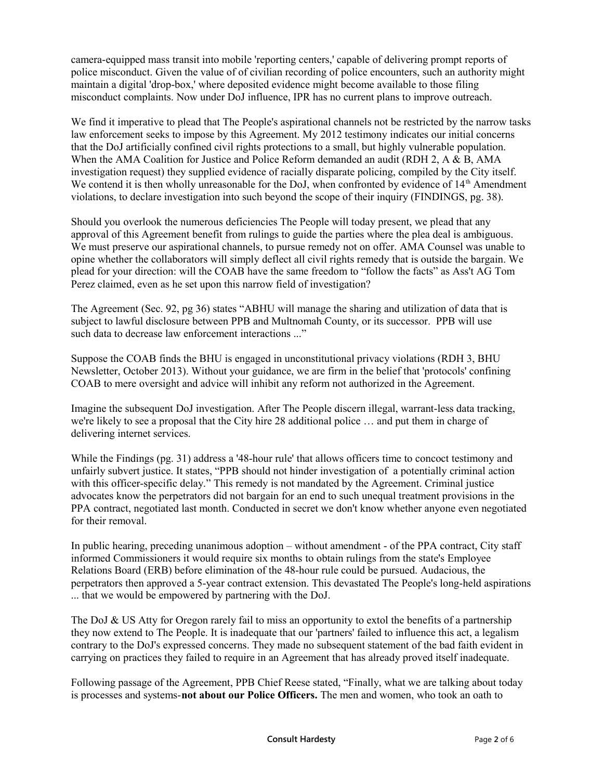camera-equipped mass transit into mobile 'reporting centers,' capable of delivering prompt reports of police misconduct. Given the value of of civilian recording of police encounters, such an authority might maintain a digital 'drop-box,' where deposited evidence might become available to those filing misconduct complaints. Now under DoJ influence, IPR has no current plans to improve outreach.

We find it imperative to plead that The People's aspirational channels not be restricted by the narrow tasks law enforcement seeks to impose by this Agreement. My 2012 testimony indicates our initial concerns that the DoJ artificially confined civil rights protections to a small, but highly vulnerable population. When the AMA Coalition for Justice and Police Reform demanded an audit (RDH 2, A & B, AMA investigation request) they supplied evidence of racially disparate policing, compiled by the City itself. We contend it is then wholly unreasonable for the DoJ, when confronted by evidence of  $14<sup>th</sup>$  Amendment violations, to declare investigation into such beyond the scope of their inquiry (FINDINGS, pg. 38).

Should you overlook the numerous deficiencies The People will today present, we plead that any approval of this Agreement benefit from rulings to guide the parties where the plea deal is ambiguous. We must preserve our aspirational channels, to pursue remedy not on offer. AMA Counsel was unable to opine whether the collaborators will simply deflect all civil rights remedy that is outside the bargain. We plead for your direction: will the COAB have the same freedom to "follow the facts" as Ass't AG Tom Perez claimed, even as he set upon this narrow field of investigation?

The Agreement (Sec. 92, pg 36) states "ABHU will manage the sharing and utilization of data that is subject to lawful disclosure between PPB and Multnomah County, or its successor. PPB will use such data to decrease law enforcement interactions ..."

Suppose the COAB finds the BHU is engaged in unconstitutional privacy violations (RDH 3, BHU Newsletter, October 2013). Without your guidance, we are firm in the belief that 'protocols' confining COAB to mere oversight and advice will inhibit any reform not authorized in the Agreement.

Imagine the subsequent DoJ investigation. After The People discern illegal, warrant-less data tracking, we're likely to see a proposal that the City hire 28 additional police … and put them in charge of delivering internet services.

While the Findings (pg. 31) address a '48-hour rule' that allows officers time to concoct testimony and unfairly subvert justice. It states, "PPB should not hinder investigation of a potentially criminal action with this officer-specific delay." This remedy is not mandated by the Agreement. Criminal justice advocates know the perpetrators did not bargain for an end to such unequal treatment provisions in the PPA contract, negotiated last month. Conducted in secret we don't know whether anyone even negotiated for their removal.

In public hearing, preceding unanimous adoption – without amendment - of the PPA contract, City staff informed Commissioners it would require six months to obtain rulings from the state's Employee Relations Board (ERB) before elimination of the 48-hour rule could be pursued. Audacious, the perpetrators then approved a 5-year contract extension. This devastated The People's long-held aspirations ... that we would be empowered by partnering with the DoJ.

The DoJ & US Atty for Oregon rarely fail to miss an opportunity to extol the benefits of a partnership they now extend to The People. It is inadequate that our 'partners' failed to influence this act, a legalism contrary to the DoJ's expressed concerns. They made no subsequent statement of the bad faith evident in carrying on practices they failed to require in an Agreement that has already proved itself inadequate.

Following passage of the Agreement, PPB Chief Reese stated, "Finally, what we are talking about today is processes and systems-**not about our Police Officers.** The men and women, who took an oath to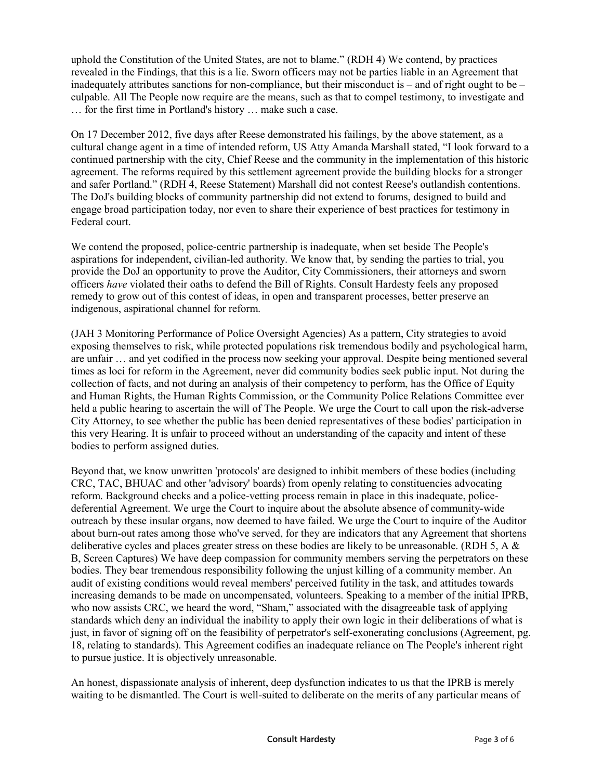uphold the Constitution of the United States, are not to blame." (RDH 4) We contend, by practices revealed in the Findings, that this is a lie. Sworn officers may not be parties liable in an Agreement that inadequately attributes sanctions for non-compliance, but their misconduct is – and of right ought to be – culpable. All The People now require are the means, such as that to compel testimony, to investigate and … for the first time in Portland's history … make such a case.

On 17 December 2012, five days after Reese demonstrated his failings, by the above statement, as a cultural change agent in a time of intended reform, US Atty Amanda Marshall stated, "I look forward to a continued partnership with the city, Chief Reese and the community in the implementation of this historic agreement. The reforms required by this settlement agreement provide the building blocks for a stronger and safer Portland." (RDH 4, Reese Statement) Marshall did not contest Reese's outlandish contentions. The DoJ's building blocks of community partnership did not extend to forums, designed to build and engage broad participation today, nor even to share their experience of best practices for testimony in Federal court.

We contend the proposed, police-centric partnership is inadequate, when set beside The People's aspirations for independent, civilian-led authority. We know that, by sending the parties to trial, you provide the DoJ an opportunity to prove the Auditor, City Commissioners, their attorneys and sworn officers *have* violated their oaths to defend the Bill of Rights. Consult Hardesty feels any proposed remedy to grow out of this contest of ideas, in open and transparent processes, better preserve an indigenous, aspirational channel for reform.

(JAH 3 Monitoring Performance of Police Oversight Agencies) As a pattern, City strategies to avoid exposing themselves to risk, while protected populations risk tremendous bodily and psychological harm, are unfair … and yet codified in the process now seeking your approval. Despite being mentioned several times as loci for reform in the Agreement, never did community bodies seek public input. Not during the collection of facts, and not during an analysis of their competency to perform, has the Office of Equity and Human Rights, the Human Rights Commission, or the Community Police Relations Committee ever held a public hearing to ascertain the will of The People. We urge the Court to call upon the risk-adverse City Attorney, to see whether the public has been denied representatives of these bodies' participation in this very Hearing. It is unfair to proceed without an understanding of the capacity and intent of these bodies to perform assigned duties.

Beyond that, we know unwritten 'protocols' are designed to inhibit members of these bodies (including CRC, TAC, BHUAC and other 'advisory' boards) from openly relating to constituencies advocating reform. Background checks and a police-vetting process remain in place in this inadequate, policedeferential Agreement. We urge the Court to inquire about the absolute absence of community-wide outreach by these insular organs, now deemed to have failed. We urge the Court to inquire of the Auditor about burn-out rates among those who've served, for they are indicators that any Agreement that shortens deliberative cycles and places greater stress on these bodies are likely to be unreasonable. (RDH 5, A  $\&$ B, Screen Captures) We have deep compassion for community members serving the perpetrators on these bodies. They bear tremendous responsibility following the unjust killing of a community member. An audit of existing conditions would reveal members' perceived futility in the task, and attitudes towards increasing demands to be made on uncompensated, volunteers. Speaking to a member of the initial IPRB, who now assists CRC, we heard the word, "Sham," associated with the disagreeable task of applying standards which deny an individual the inability to apply their own logic in their deliberations of what is just, in favor of signing off on the feasibility of perpetrator's self-exonerating conclusions (Agreement, pg. 18, relating to standards). This Agreement codifies an inadequate reliance on The People's inherent right to pursue justice. It is objectively unreasonable.

An honest, dispassionate analysis of inherent, deep dysfunction indicates to us that the IPRB is merely waiting to be dismantled. The Court is well-suited to deliberate on the merits of any particular means of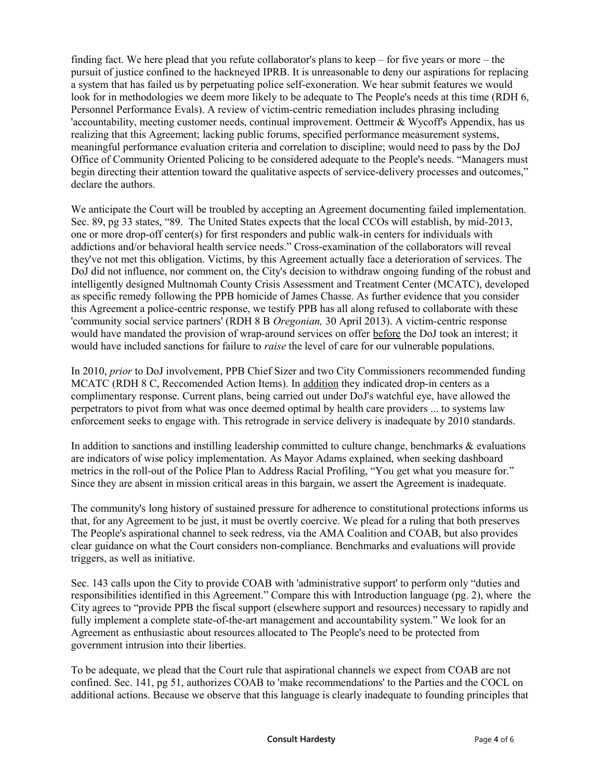finding fact. We here plead that you refute collaborator's plans to keep – for five years or more – the pursuit of justice confined to the hackneyed IPRB. It is unreasonable to deny our aspirations for replacing a system that has failed us by perpetuating police self-exoneration. We hear submit features we would look for in methodologies we deem more likely to be adequate to The People's needs at this time (RDH 6, Personnel Performance Evals). A review of victim-centric remediation includes phrasing including 'accountability, meeting customer needs, continual improvement. Oettmeir & Wycoff's Appendix, has us realizing that this Agreement; lacking public forums, specified performance measurement systems, meaningful performance evaluation criteria and correlation to discipline; would need to pass by the DoJ Office of Community Oriented Policing to be considered adequate to the People's needs. "Managers must begin directing their attention toward the qualitative aspects of service-delivery processes and outcomes," declare the authors.

We anticipate the Court will be troubled by accepting an Agreement documenting failed implementation. Sec. 89, pg 33 states, "89. The United States expects that the local CCOs will establish, by mid-2013, one or more drop-off center(s) for first responders and public walk-in centers for individuals with addictions and/or behavioral health service needs." Cross-examination of the collaborators will reveal they've not met this obligation. Victims, by this Agreement actually face a deterioration of services. The DoJ did not influence, nor comment on, the City's decision to withdraw ongoing funding of the robust and intelligently designed Multnomah County Crisis Assessment and Treatment Center (MCATC), developed as specific remedy following the PPB homicide of James Chasse. As further evidence that you consider this Agreement a police-centric response, we testify PPB has all along refused to collaborate with these 'community social service partners' (RDH 8 B *Oregonian,* 30 April 2013). A victim-centric response would have mandated the provision of wrap-around services on offer before the DoJ took an interest; it would have included sanctions for failure to *raise* the level of care for our vulnerable populations.

In 2010, *prior* to DoJ involvement, PPB Chief Sizer and two City Commissioners recommended funding MCATC (RDH 8 C, Reccomended Action Items). In addition they indicated drop-in centers as a complimentary response. Current plans, being carried out under DoJ's watchful eye, have allowed the perpetrators to pivot from what was once deemed optimal by health care providers ... to systems law enforcement seeks to engage with. This retrograde in service delivery is inadequate by 2010 standards.

In addition to sanctions and instilling leadership committed to culture change, benchmarks  $\&$  evaluations are indicators of wise policy implementation. As Mayor Adams explained, when seeking dashboard metrics in the roll-out of the Police Plan to Address Racial Profiling, "You get what you measure for." Since they are absent in mission critical areas in this bargain, we assert the Agreement is inadequate.

The community's long history of sustained pressure for adherence to constitutional protections informs us that, for any Agreement to be just, it must be overtly coercive. We plead for a ruling that both preserves The People's aspirational channel to seek redress, via the AMA Coalition and COAB, but also provides clear guidance on what the Court considers non-compliance. Benchmarks and evaluations will provide triggers, as well as initiative.

Sec. 143 calls upon the City to provide COAB with 'administrative support' to perform only "duties and responsibilities identified in this Agreement." Compare this with Introduction language (pg. 2), where the City agrees to "provide PPB the fiscal support (elsewhere support and resources) necessary to rapidly and fully implement a complete state-of-the-art management and accountability system." We look for an Agreement as enthusiastic about resources allocated to The People's need to be protected from government intrusion into their liberties.

To be adequate, we plead that the Court rule that aspirational channels we expect from COAB are not confined. Sec. 141, pg 51, authorizes COAB to 'make recommendations' to the Parties and the COCL on additional actions. Because we observe that this language is clearly inadequate to founding principles that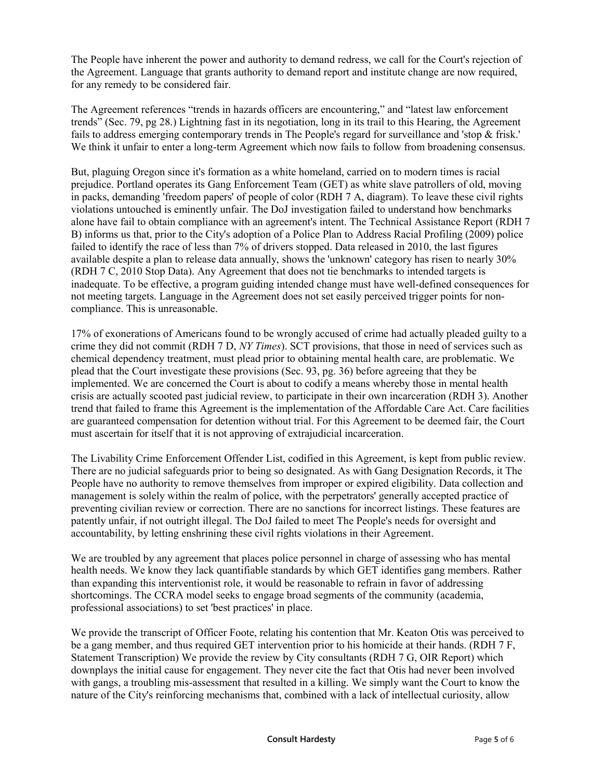The People have inherent the power and authority to demand redress, we call for the Court's rejection of the Agreement. Language that grants authority to demand report and institute change are now required, for any remedy to be considered fair.

The Agreement references "trends in hazards officers are encountering," and "latest law enforcement trends" (Sec. 79, pg 28.) Lightning fast in its negotiation, long in its trail to this Hearing, the Agreement fails to address emerging contemporary trends in The People's regard for surveillance and 'stop & frisk.' We think it unfair to enter a long-term Agreement which now fails to follow from broadening consensus.

But, plaguing Oregon since it's formation as a white homeland, carried on to modern times is racial prejudice. Portland operates its Gang Enforcement Team (GET) as white slave patrollers of old, moving in packs, demanding 'freedom papers' of people of color (RDH 7 A, diagram). To leave these civil rights violations untouched is eminently unfair. The DoJ investigation failed to understand how benchmarks alone have fail to obtain compliance with an agreement's intent. The Technical Assistance Report (RDH 7 B) informs us that, prior to the City's adoption of a Police Plan to Address Racial Profiling (2009) police failed to identify the race of less than 7% of drivers stopped. Data released in 2010, the last figures available despite a plan to release data annually, shows the 'unknown' category has risen to nearly 30% (RDH 7 C, 2010 Stop Data). Any Agreement that does not tie benchmarks to intended targets is inadequate. To be effective, a program guiding intended change must have well-defined consequences for not meeting targets. Language in the Agreement does not set easily perceived trigger points for noncompliance. This is unreasonable.

17% of exonerations of Americans found to be wrongly accused of crime had actually pleaded guilty to a crime they did not commit (RDH 7 D, *NY Times*). SCT provisions, that those in need of services such as chemical dependency treatment, must plead prior to obtaining mental health care, are problematic. We plead that the Court investigate these provisions (Sec. 93, pg. 36) before agreeing that they be implemented. We are concerned the Court is about to codify a means whereby those in mental health crisis are actually scooted past judicial review, to participate in their own incarceration (RDH 3). Another trend that failed to frame this Agreement is the implementation of the Affordable Care Act. Care facilities are guaranteed compensation for detention without trial. For this Agreement to be deemed fair, the Court must ascertain for itself that it is not approving of extrajudicial incarceration.

The Livability Crime Enforcement Offender List, codified in this Agreement, is kept from public review. There are no judicial safeguards prior to being so designated. As with Gang Designation Records, it The People have no authority to remove themselves from improper or expired eligibility. Data collection and management is solely within the realm of police, with the perpetrators' generally accepted practice of preventing civilian review or correction. There are no sanctions for incorrect listings. These features are patently unfair, if not outright illegal. The DoJ failed to meet The People's needs for oversight and accountability, by letting enshrining these civil rights violations in their Agreement.

We are troubled by any agreement that places police personnel in charge of assessing who has mental health needs. We know they lack quantifiable standards by which GET identifies gang members. Rather than expanding this interventionist role, it would be reasonable to refrain in favor of addressing shortcomings. The CCRA model seeks to engage broad segments of the community (academia, professional associations) to set 'best practices' in place.

We provide the transcript of Officer Foote, relating his contention that Mr. Keaton Otis was perceived to be a gang member, and thus required GET intervention prior to his homicide at their hands. (RDH 7 F, Statement Transcription) We provide the review by City consultants (RDH 7 G, OIR Report) which downplays the initial cause for engagement. They never cite the fact that Otis had never been involved with gangs, a troubling mis-assessment that resulted in a killing. We simply want the Court to know the nature of the City's reinforcing mechanisms that, combined with a lack of intellectual curiosity, allow